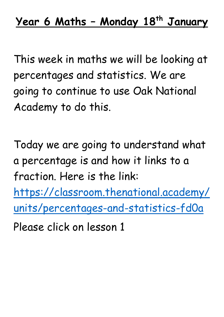This week in maths we will be looking at percentages and statistics. We are going to continue to use Oak National Academy to do this.

Today we are going to understand what a percentage is and how it links to a fraction. Here is the link:

[https://classroom.thenational.academy/](https://classroom.thenational.academy/units/percentages-and-statistics-fd0a) [units/percentages-and-statistics-fd0a](https://classroom.thenational.academy/units/percentages-and-statistics-fd0a)

Please click on lesson 1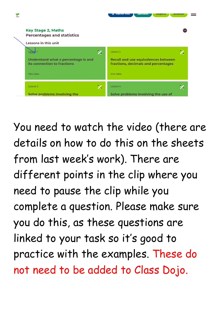

You need to watch the video (there are details on how to do this on the sheets from last week's work). There are different points in the clip where you need to pause the clip while you complete a question. Please make sure you do this, as these questions are linked to your task so it's good to practice with the examples. These do not need to be added to Class Dojo.